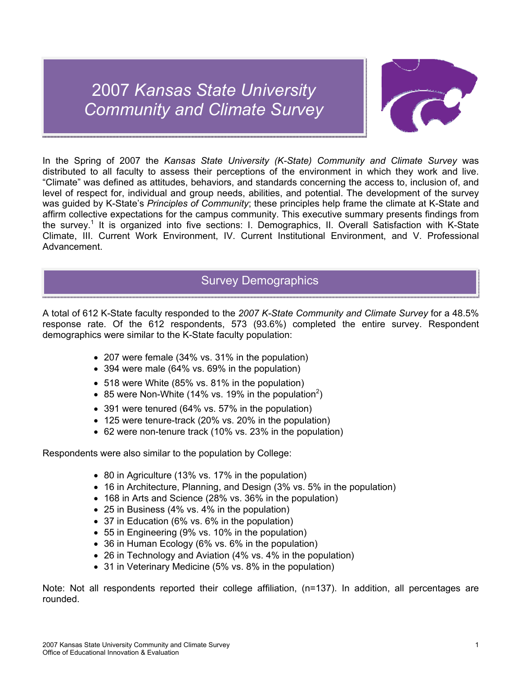# 2007 *Kansas State University Community and Climate Survey*



In the Spring of 2007 the *Kansas State University (K-State) Community and Climate Survey* was distributed to all faculty to assess their perceptions of the environment in which they work and live. "Climate" was defined as attitudes, behaviors, and standards concerning the access to, inclusion of, and level of respect for, individual and group needs, abilities, and potential. The development of the survey was guided by K-State's *Principles of Community*; these principles help frame the climate at K-State and affirm collective expectations for the campus community. This executive summary presents findings from the survey.<sup>1</sup> It is organized into five sections: I. Demographics, II. Overall Satisfaction with K-State Climate, III. Current Work Environment, IV. Current Institutional Environment, and V. Professional Advancement.

# Survey Demographics

A total of 612 K-State faculty responded to the *2007 K-State Community and Climate Survey* for a 48.5% response rate. Of the 612 respondents, 573 (93.6%) completed the entire survey. Respondent demographics were similar to the K-State faculty population:

- 207 were female (34% vs. 31% in the population)
- 394 were male (64% vs. 69% in the population)
- 518 were White (85% vs. 81% in the population)
- 85 were Non-White (14% vs. 19% in the population<sup>2</sup>)
- 391 were tenured (64% vs. 57% in the population)
- 125 were tenure-track (20% vs. 20% in the population)
- 62 were non-tenure track (10% vs. 23% in the population)

Respondents were also similar to the population by College:

- 80 in Agriculture (13% vs. 17% in the population)
- 16 in Architecture, Planning, and Design (3% vs. 5% in the population)
- 168 in Arts and Science (28% vs. 36% in the population)
- 25 in Business (4% vs. 4% in the population)
- 37 in Education (6% vs. 6% in the population)
- 55 in Engineering (9% vs. 10% in the population)
- 36 in Human Ecology (6% vs. 6% in the population)
- 26 in Technology and Aviation (4% vs. 4% in the population)
- 31 in Veterinary Medicine (5% vs. 8% in the population)

Note: Not all respondents reported their college affiliation, (n=137). In addition, all percentages are rounded.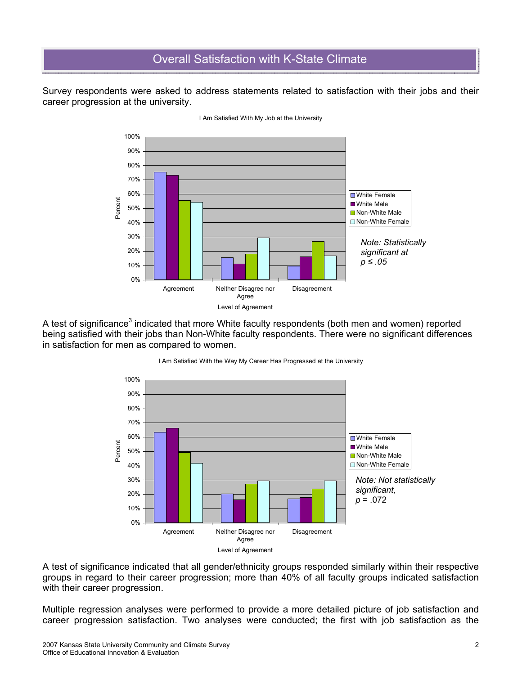# Overall Satisfaction with K-State Climate

Survey respondents were asked to address statements related to satisfaction with their jobs and their career progression at the university.



I Am Satisfied With My Job at the University

A test of significance<sup>3</sup> indicated that more White faculty respondents (both men and women) reported being satisfied with their jobs than Non-White faculty respondents. There were no significant differences in satisfaction for men as compared to women.



### I Am Satisfied With the Way My Career Has Progressed at the University

A test of significance indicated that all gender/ethnicity groups responded similarly within their respective groups in regard to their career progression; more than 40% of all faculty groups indicated satisfaction with their career progression.

Multiple regression analyses were performed to provide a more detailed picture of job satisfaction and career progression satisfaction. Two analyses were conducted; the first with job satisfaction as the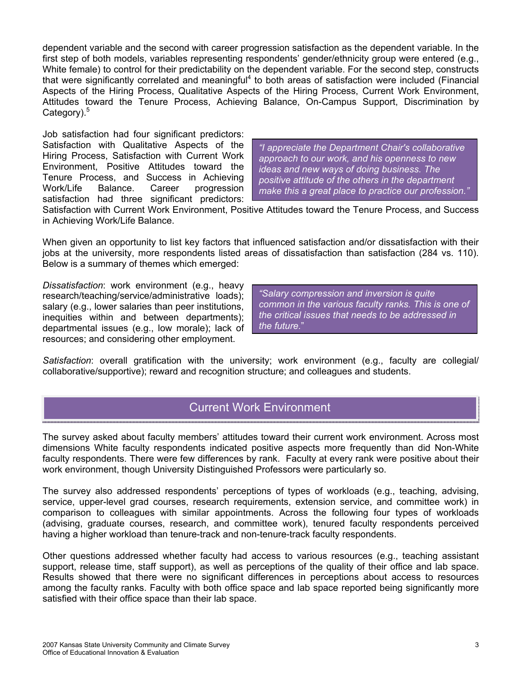dependent variable and the second with career progression satisfaction as the dependent variable. In the first step of both models, variables representing respondents' gender/ethnicity group were entered (e.g., White female) to control for their predictability on the dependent variable. For the second step, constructs that were significantly correlated and meaningful<sup>4</sup> to both areas of satisfaction were included (Financial Aspects of the Hiring Process, Qualitative Aspects of the Hiring Process, Current Work Environment, Attitudes toward the Tenure Process, Achieving Balance, On-Campus Support, Discrimination by Category).<sup>5</sup>

Job satisfaction had four significant predictors: Satisfaction with Qualitative Aspects of the Hiring Process, Satisfaction with Current Work Environment, Positive Attitudes toward the Tenure Process, and Success in Achieving Work/Life Balance. Career progression satisfaction had three significant predictors:

*"I appreciate the Department Chair's collaborative approach to our work, and his openness to new ideas and new ways of doing business. The positive attitude of the others in the department make this a great place to practice our profession."* 

Satisfaction with Current Work Environment, Positive Attitudes toward the Tenure Process, and Success in Achieving Work/Life Balance.

When given an opportunity to list key factors that influenced satisfaction and/or dissatisfaction with their jobs at the university, more respondents listed areas of dissatisfaction than satisfaction (284 vs. 110). Below is a summary of themes which emerged:

*Dissatisfaction*: work environment (e.g., heavy research/teaching/service/administrative loads); salary (e.g., lower salaries than peer institutions, inequities within and between departments); departmental issues (e.g., low morale); lack of resources; and considering other employment.

*"Salary compression and inversion is quite common in the various faculty ranks. This is one of the critical issues that needs to be addressed in the future.*"

*Satisfaction*: overall gratification with the university; work environment (e.g., faculty are collegial/ collaborative/supportive); reward and recognition structure; and colleagues and students.

# Current Work Environment

The survey asked about faculty members' attitudes toward their current work environment. Across most dimensions White faculty respondents indicated positive aspects more frequently than did Non-White faculty respondents. There were few differences by rank. Faculty at every rank were positive about their work environment, though University Distinguished Professors were particularly so.

The survey also addressed respondents' perceptions of types of workloads (e.g., teaching, advising, service, upper-level grad courses, research requirements, extension service, and committee work) in comparison to colleagues with similar appointments. Across the following four types of workloads (advising, graduate courses, research, and committee work), tenured faculty respondents perceived having a higher workload than tenure-track and non-tenure-track faculty respondents.

Other questions addressed whether faculty had access to various resources (e.g., teaching assistant support, release time, staff support), as well as perceptions of the quality of their office and lab space. Results showed that there were no significant differences in perceptions about access to resources among the faculty ranks. Faculty with both office space and lab space reported being significantly more satisfied with their office space than their lab space.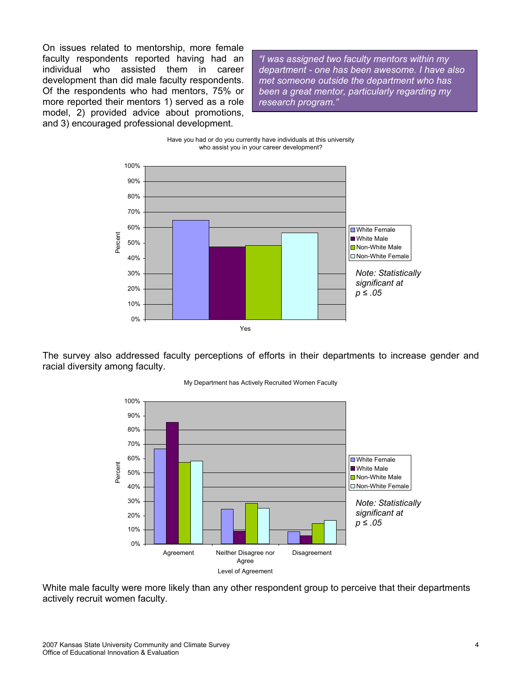On issues related to mentorship, more female faculty respondents reported having had an individual who assisted them in career development than did male faculty respondents. Of the respondents who had mentors, 75% or more reported their mentors 1) served as a role model, 2) provided advice about promotions, and 3) encouraged professional development.

*"I was assigned two faculty mentors within my department - one has been awesome. I have also met someone outside the department who has been a great mentor, particularly regarding my research program."*





The survey also addressed faculty perceptions of efforts in their departments to increase gender and racial diversity among faculty.



My Department has Actively Recruited Women Faculty

White male faculty were more likely than any other respondent group to perceive that their departments actively recruit women faculty.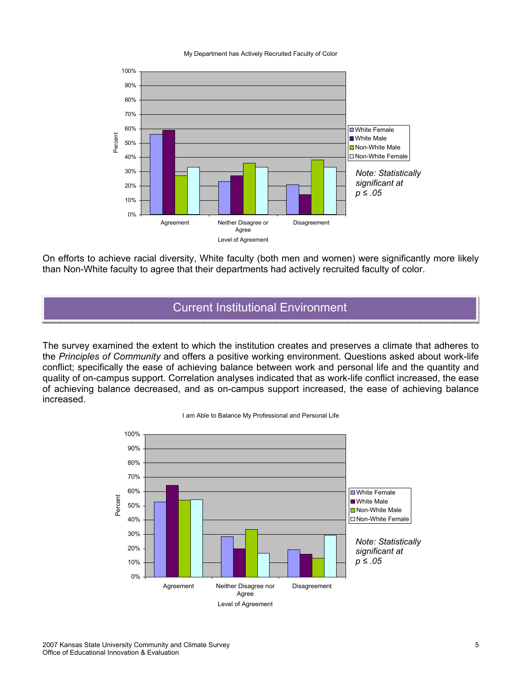#### My Department has Actively Recruited Faculty of Color



On efforts to achieve racial diversity, White faculty (both men and women) were significantly more likely than Non-White faculty to agree that their departments had actively recruited faculty of color.

### Current Institutional Environment

The survey examined the extent to which the institution creates and preserves a climate that adheres to the *Principles of Community* and offers a positive working environment. Questions asked about work-life conflict; specifically the ease of achieving balance between work and personal life and the quantity and quality of on-campus support. Correlation analyses indicated that as work-life conflict increased, the ease of achieving balance decreased, and as on-campus support increased, the ease of achieving balance increased.



I am Able to Balance My Professional and Personal Life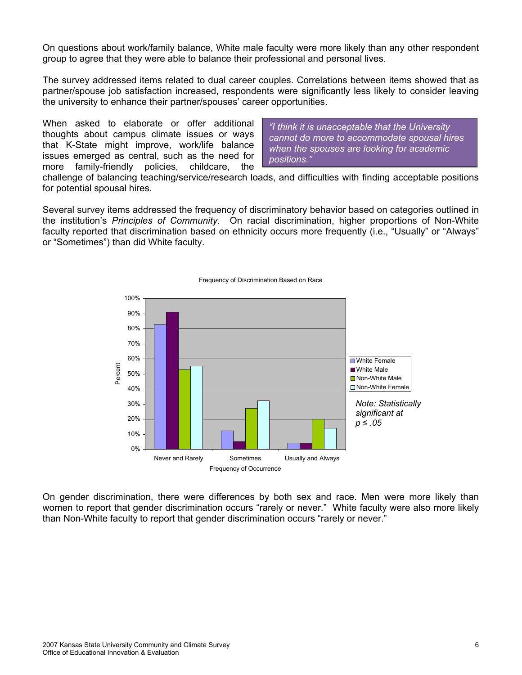On questions about work/family balance, White male faculty were more likely than any other respondent group to agree that they were able to balance their professional and personal lives.

The survey addressed items related to dual career couples. Correlations between items showed that as partner/spouse job satisfaction increased, respondents were significantly less likely to consider leaving the university to enhance their partner/spouses' career opportunities.

When asked to elaborate or offer additional thoughts about campus climate issues or ways that K-State might improve, work/life balance issues emerged as central, such as the need for more family-friendly policies, childcare, the

*"I think it is unacceptable that the University cannot do more to accommodate spousal hires when the spouses are looking for academic positions."*

challenge of balancing teaching/service/research loads, and difficulties with finding acceptable positions for potential spousal hires.

Several survey items addressed the frequency of discriminatory behavior based on categories outlined in the institution's *Principles of Community*. On racial discrimination, higher proportions of Non-White faculty reported that discrimination based on ethnicity occurs more frequently (i.e., "Usually" or "Always" or "Sometimes") than did White faculty.



### Frequency of Discrimination Based on Race

On gender discrimination, there were differences by both sex and race. Men were more likely than women to report that gender discrimination occurs "rarely or never." White faculty were also more likely than Non-White faculty to report that gender discrimination occurs "rarely or never."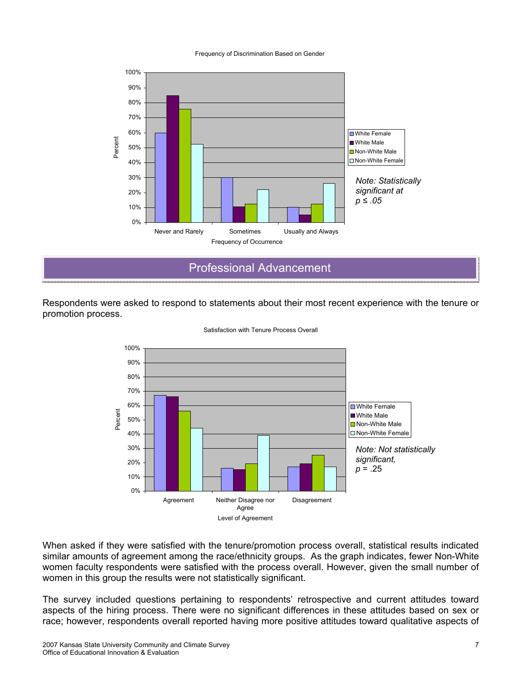### Frequency of Discrimination Based on Gender



Professional Advancement

Respondents were asked to respond to statements about their most recent experience with the tenure or promotion process.



Satisfaction with Tenure Process Overall

When asked if they were satisfied with the tenure/promotion process overall, statistical results indicated similar amounts of agreement among the race/ethnicity groups. As the graph indicates, fewer Non-White women faculty respondents were satisfied with the process overall. However, given the small number of women in this group the results were not statistically significant.

The survey included questions pertaining to respondents' retrospective and current attitudes toward aspects of the hiring process. There were no significant differences in these attitudes based on sex or race; however, respondents overall reported having more positive attitudes toward qualitative aspects of